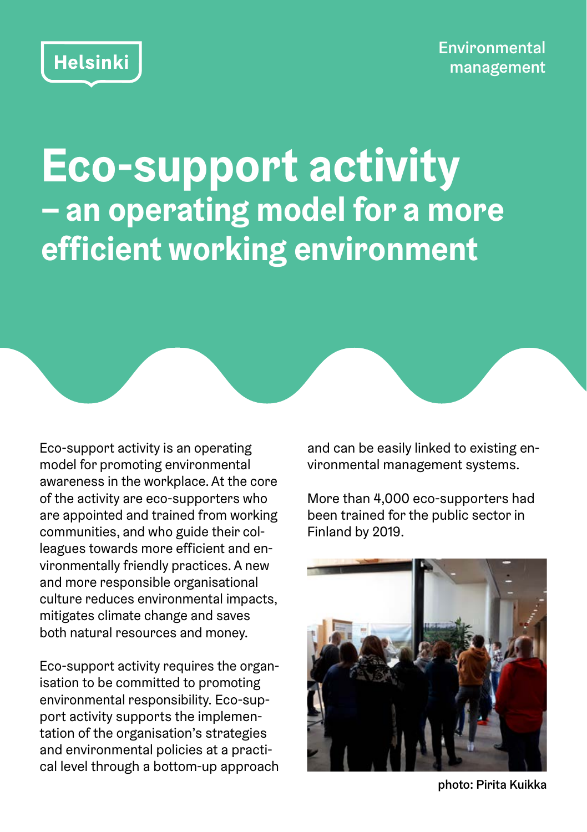**Eco-support activity – an operating model for a more efficient working environment**

Eco-support activity is an operating model for promoting environmental awareness in the workplace. At the core of the activity are eco-supporters who are appointed and trained from working communities, and who guide their colleagues towards more efficient and environmentally friendly practices. A new and more responsible organisational culture reduces environmental impacts, mitigates climate change and saves both natural resources and money.

Eco-support activity requires the organisation to be committed to promoting environmental responsibility. Eco-support activity supports the implementation of the organisation's strategies and environmental policies at a practical level through a bottom-up approach and can be easily linked to existing environmental management systems.

More than 4,000 eco-supporters had been trained for the public sector in Finland by 2019.



photo: Pirita Kuikka